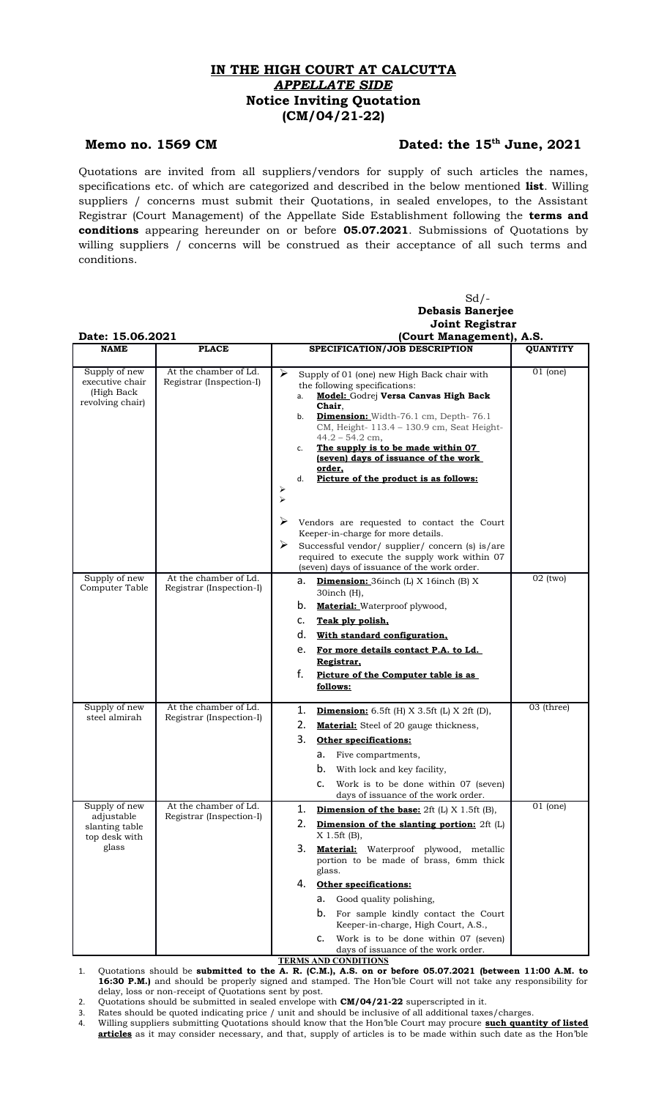## **IN THE HIGH COURT AT CALCUTTA** *APPELLATE SIDE* **Notice Inviting Quotation (CM/04/21-22)**

## Memo no. 1569 CM Dated: the 15<sup>th</sup> June, 2021

Quotations are invited from all suppliers/vendors for supply of such articles the names, specifications etc. of which are categorized and described in the below mentioned **list**. Willing suppliers / concerns must submit their Quotations, in sealed envelopes, to the Assistant Registrar (Court Management) of the Appellate Side Establishment following the **terms and conditions** appearing hereunder on or before **05.07.2021**. Submissions of Quotations by willing suppliers / concerns will be construed as their acceptance of all such terms and conditions.

|                                                                         |                                                   | $Sd$ /-                                                                                                                                                                                                                                                                                                                                                                                                                                                                                                        |
|-------------------------------------------------------------------------|---------------------------------------------------|----------------------------------------------------------------------------------------------------------------------------------------------------------------------------------------------------------------------------------------------------------------------------------------------------------------------------------------------------------------------------------------------------------------------------------------------------------------------------------------------------------------|
|                                                                         |                                                   | <b>Debasis Banerjee</b>                                                                                                                                                                                                                                                                                                                                                                                                                                                                                        |
|                                                                         |                                                   | <b>Joint Registrar</b>                                                                                                                                                                                                                                                                                                                                                                                                                                                                                         |
| Date: 15.06.2021                                                        |                                                   | (Court Management), A.S.                                                                                                                                                                                                                                                                                                                                                                                                                                                                                       |
| <b>NAME</b>                                                             | <b>PLACE</b>                                      | SPECIFICATION/JOB DESCRIPTION<br><b>QUANTITY</b>                                                                                                                                                                                                                                                                                                                                                                                                                                                               |
| Supply of new<br>executive chair<br>(High Back<br>revolving chair)      | At the chamber of Ld.<br>Registrar (Inspection-I) | $01$ (one)<br>➤<br>Supply of 01 (one) new High Back chair with<br>the following specifications:<br>Model: Godrej Versa Canvas High Back<br>а.<br>Chair.<br><b>Dimension:</b> Width-76.1 cm, Depth-76.1<br>b.<br>CM, Height- 113.4 - 130.9 cm, Seat Height-<br>$44.2 - 54.2$ cm,<br>The supply is to be made within 07<br>c.<br>(seven) days of issuance of the work<br>order,<br>Picture of the product is as follows:<br>d.<br>➤<br>$\blacktriangleright$                                                     |
|                                                                         |                                                   | ➤<br>Vendors are requested to contact the Court<br>Keeper-in-charge for more details.<br>≻<br>Successful vendor/supplier/concern (s) is/are<br>required to execute the supply work within 07<br>(seven) days of issuance of the work order.                                                                                                                                                                                                                                                                    |
| Supply of new<br>Computer Table                                         | At the chamber of Ld.<br>Registrar (Inspection-I) | $02$ (two)<br><b>Dimension:</b> 36inch (L) X 16inch (B) X<br>а.<br>$30$ inch $(H)$ ,<br>b.<br><b>Material:</b> Waterproof plywood,<br>c.<br>Teak ply polish,<br>d.<br>With standard configuration,<br>For more details contact P.A. to Ld.<br>e.<br>Registrar,<br>f.<br>Picture of the Computer table is as<br>follows:                                                                                                                                                                                        |
| Supply of new<br>steel almirah                                          | At the chamber of Ld.<br>Registrar (Inspection-I) | 03 (three)<br>1.<br><b>Dimension:</b> 6.5ft (H) $X$ 3.5ft (L) $X$ 2ft (D),<br>2.<br><b>Material:</b> Steel of 20 gauge thickness,<br>3.<br><b>Other specifications:</b><br>а.<br>Five compartments,<br>b.<br>With lock and key facility,<br>Work is to be done within 07 (seven)<br>days of issuance of the work order.                                                                                                                                                                                        |
| Supply of new<br>adjustable<br>slanting table<br>top desk with<br>glass | At the chamber of Ld.<br>Registrar (Inspection-I) | $01$ (one)<br>1.<br><b>Dimension of the base:</b> $2ft$ (L) X 1.5ft (B),<br>2.<br><b>Dimension of the slanting portion:</b> 2ft (L)<br>X 1.5ft (B),<br>3.<br><b>Material:</b> Waterproof plywood, metallic<br>portion to be made of brass, 6mm thick<br>glass.<br><b>Other specifications:</b><br>4.<br>Good quality polishing,<br>а.<br>b.<br>For sample kindly contact the Court<br>Keeper-in-charge, High Court, A.S.,<br>Work is to be done within 07 (seven)<br>c.<br>days of issuance of the work order. |

**TERMS AND CONDITIONS**

1. Quotations should be **submitted to the A. R. (C.M.), A.S. on or before 05.07.2021 (between 11:00 A.M. to 16:30 P.M.)** and should be properly signed and stamped. The Hon'ble Court will not take any responsibility for delay, loss or non-receipt of Quotations sent by post.

2. Quotations should be submitted in sealed envelope with **CM/04/21-22** superscripted in it.

3. Rates should be quoted indicating price / unit and should be inclusive of all additional taxes/charges.

4. Willing suppliers submitting Quotations should know that the Hon'ble Court may procure **such quantity of listed articles** as it may consider necessary, and that, supply of articles is to be made within such date as the Hon'ble